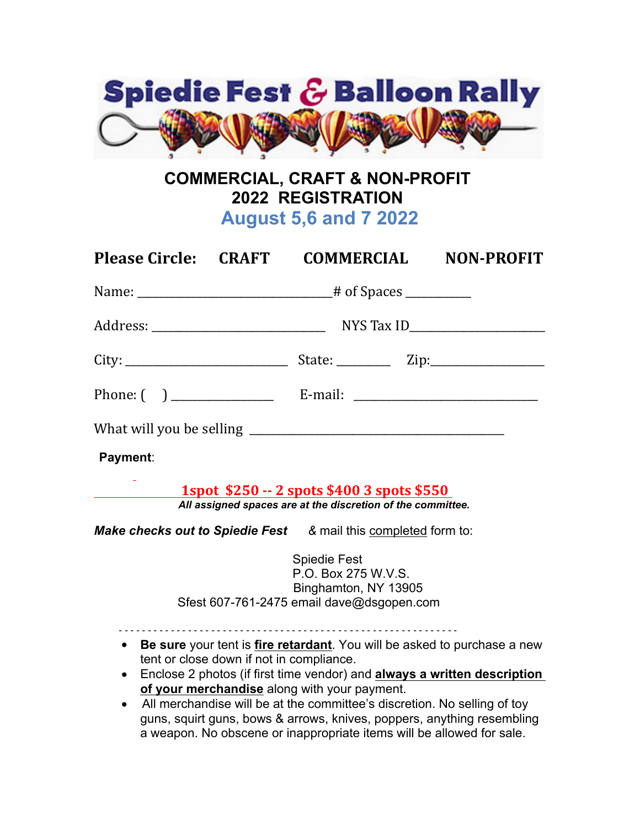

## **COMMERCIAL, CRAFT & NON-PROFIT 2022 REGISTRATION August 5,6 and 7 2022**

|                                     | Please Circle: CRAFT COMMERCIAL                                                                                                                                                                                                                                                                                         |                                             | <b>NON-PROFIT</b>                                                                                                                                    |  |
|-------------------------------------|-------------------------------------------------------------------------------------------------------------------------------------------------------------------------------------------------------------------------------------------------------------------------------------------------------------------------|---------------------------------------------|------------------------------------------------------------------------------------------------------------------------------------------------------|--|
|                                     |                                                                                                                                                                                                                                                                                                                         |                                             |                                                                                                                                                      |  |
|                                     |                                                                                                                                                                                                                                                                                                                         |                                             |                                                                                                                                                      |  |
|                                     |                                                                                                                                                                                                                                                                                                                         |                                             |                                                                                                                                                      |  |
|                                     | Phone: $\begin{pmatrix} 1 & 1 & 1 \\ 0 & 1 & 1 \end{pmatrix}$ E-mail: $\begin{pmatrix} 1 & 1 & 1 \\ 1 & 1 & 1 \end{pmatrix}$                                                                                                                                                                                            |                                             |                                                                                                                                                      |  |
|                                     |                                                                                                                                                                                                                                                                                                                         |                                             |                                                                                                                                                      |  |
| Payment:                            |                                                                                                                                                                                                                                                                                                                         |                                             |                                                                                                                                                      |  |
|                                     | <u> 1spot \$250 -- 2 spots \$400 3 spots \$550</u><br>All assigned spaces are at the discretion of the committee.                                                                                                                                                                                                       |                                             |                                                                                                                                                      |  |
|                                     | <b>Make checks out to Spiedie Fest</b> & mail this completed form to:                                                                                                                                                                                                                                                   |                                             |                                                                                                                                                      |  |
|                                     | Spiedie Fest<br>Sfest 607-761-2475 email dave@dsgopen.com                                                                                                                                                                                                                                                               | P.O. Box 275 W.V.S.<br>Binghamton, NY 13905 |                                                                                                                                                      |  |
| $\bullet$<br>$\bullet$<br>$\bullet$ | tent or close down if not in compliance.<br>of your merchandise along with your payment.<br>All merchandise will be at the committee's discretion. No selling of toy<br>guns, squirt guns, bows & arrows, knives, poppers, anything resembling<br>a weapon. No obscene or inappropriate items will be allowed for sale. |                                             | Be sure your tent is fire retardant. You will be asked to purchase a new<br>Enclose 2 photos (if first time vendor) and always a written description |  |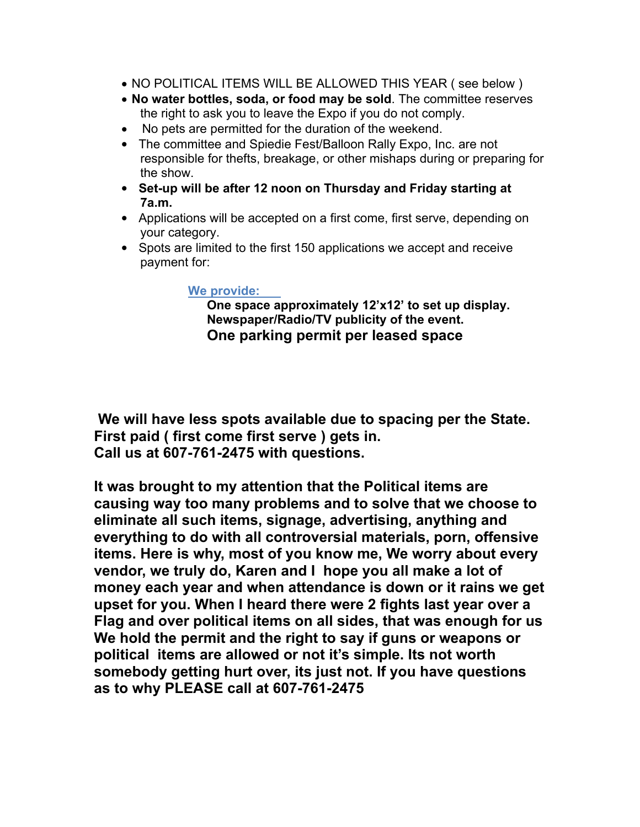- NO POLITICAL ITEMS WILL BE ALLOWED THIS YEAR ( see below )
- **No water bottles, soda, or food may be sold**. The committee reserves the right to ask you to leave the Expo if you do not comply.
- No pets are permitted for the duration of the weekend.
- The committee and Spiedie Fest/Balloon Rally Expo, Inc. are not responsible for thefts, breakage, or other mishaps during or preparing for the show.
- **Set-up will be after 12 noon on Thursday and Friday starting at 7a.m.**
- Applications will be accepted on a first come, first serve, depending on your category.
- Spots are limited to the first 150 applications we accept and receive payment for:

## **We provide:**

**One space approximately 12'x12' to set up display. Newspaper/Radio/TV publicity of the event. One parking permit per leased space**

 **We will have less spots available due to spacing per the State. First paid ( first come first serve ) gets in. Call us at 607-761-2475 with questions.** 

**It was brought to my attention that the Political items are causing way too many problems and to solve that we choose to eliminate all such items, signage, advertising, anything and everything to do with all controversial materials, porn, offensive items. Here is why, most of you know me, We worry about every vendor, we truly do, Karen and I hope you all make a lot of money each year and when attendance is down or it rains we get upset for you. When I heard there were 2 fights last year over a Flag and over political items on all sides, that was enough for us We hold the permit and the right to say if guns or weapons or political items are allowed or not it's simple. Its not worth somebody getting hurt over, its just not. If you have questions as to why PLEASE call at 607-761-2475**